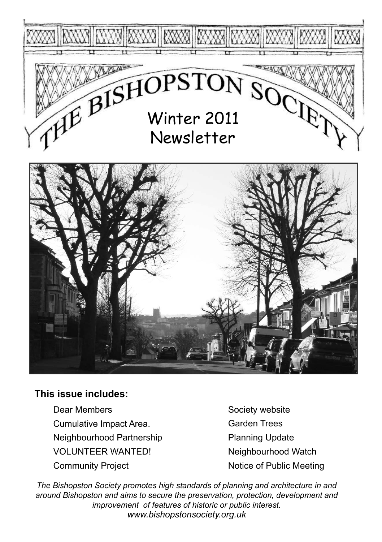



## **This issue includes:**

Dear Members Cumulative Impact Area. Neighbourhood Partnership VOLUNTEER WANTED! Community Project

Society website Garden Trees Planning Update Neighbourhood Watch Notice of Public Meeting

*The Bishopston Society promotes high standards of planning and architecture in and around Bishopston and aims to secure the preservation, protection, development and improvement of features of historic or public interest. www.bishopstonsociety.org.uk*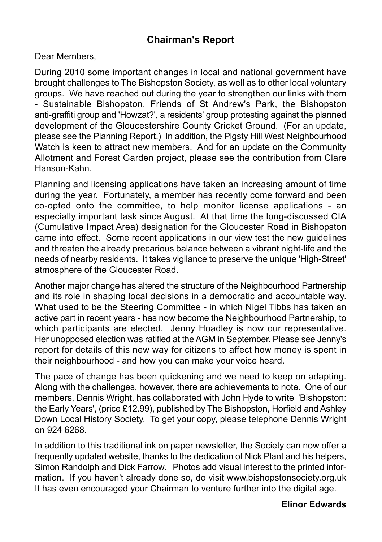## **Chairman's Report**

Dear Members,

During 2010 some important changes in local and national government have brought challenges to The Bishopston Society, as well as to other local voluntary groups. We have reached out during the year to strengthen our links with them - Sustainable Bishopston, Friends of St Andrew's Park, the Bishopston anti-graffiti group and 'Howzat?', a residents' group protesting against the planned development of the Gloucestershire County Cricket Ground. (For an update, please see the Planning Report.) In addition, the Pigsty Hill West Neighbourhood Watch is keen to attract new members. And for an update on the Community Allotment and Forest Garden project, please see the contribution from Clare Hanson-Kahn.

Planning and licensing applications have taken an increasing amount of time during the year. Fortunately, a member has recently come forward and been co-opted onto the committee, to help monitor license applications - an especially important task since August. At that time the long-discussed CIA (Cumulative Impact Area) designation for the Gloucester Road in Bishopston came into effect. Some recent applications in our view test the new guidelines and threaten the already precarious balance between a vibrant night-life and the needs of nearby residents. It takes vigilance to preserve the unique 'High-Street' atmosphere of the Gloucester Road.

Another major change has altered the structure of the Neighbourhood Partnership and its role in shaping local decisions in a democratic and accountable way. What used to be the Steering Committee - in which Nigel Tibbs has taken an active part in recent years - has now become the Neighbourhood Partnership, to which participants are elected. Jenny Hoadley is now our representative. Her unopposed election was ratified at the AGM in September. Please see Jenny's report for details of this new way for citizens to affect how money is spent in their neighbourhood - and how you can make your voice heard.

The pace of change has been quickening and we need to keep on adapting. Along with the challenges, however, there are achievements to note. One of our members, Dennis Wright, has collaborated with John Hyde to write 'Bishopston: the Early Years', (price £12.99), published by The Bishopston, Horfield and Ashley Down Local History Society. To get your copy, please telephone Dennis Wright on 924 6268.

In addition to this traditional ink on paper newsletter, the Society can now offer a frequently updated website, thanks to the dedication of Nick Plant and his helpers, Simon Randolph and Dick Farrow. Photos add visual interest to the printed information. If you haven't already done so, do visit www.bishopstonsociety.org.uk It has even encouraged your Chairman to venture further into the digital age.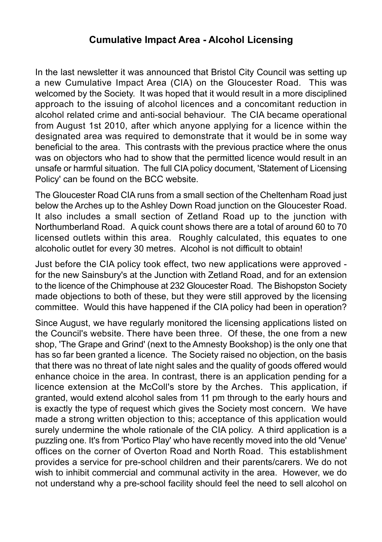## **Cumulative Impact Area - Alcohol Licensing**

In the last newsletter it was announced that Bristol City Council was setting up a new Cumulative Impact Area (CIA) on the Gloucester Road. This was welcomed by the Society. It was hoped that it would result in a more disciplined approach to the issuing of alcohol licences and a concomitant reduction in alcohol related crime and anti-social behaviour. The CIA became operational from August 1st 2010, after which anyone applying for a licence within the designated area was required to demonstrate that it would be in some way beneficial to the area. This contrasts with the previous practice where the onus was on objectors who had to show that the permitted licence would result in an unsafe or harmful situation. The full CIA policy document, 'Statement of Licensing Policy' can be found on the BCC website.

The Gloucester Road CIA runs from a small section of the Cheltenham Road just below the Arches up to the Ashley Down Road junction on the Gloucester Road. It also includes a small section of Zetland Road up to the junction with Northumberland Road. A quick count shows there are a total of around 60 to 70 licensed outlets within this area. Roughly calculated, this equates to one alcoholic outlet for every 30 metres. Alcohol is not difficult to obtain!

Just before the CIA policy took effect, two new applications were approved for the new Sainsbury's at the Junction with Zetland Road, and for an extension to the licence of the Chimphouse at 232 Gloucester Road. The Bishopston Society made objections to both of these, but they were still approved by the licensing committee. Would this have happened if the CIA policy had been in operation?

Since August, we have regularly monitored the licensing applications listed on the Council's website. There have been three. Of these, the one from a new shop, 'The Grape and Grind' (next to the Amnesty Bookshop) is the only one that has so far been granted a licence. The Society raised no objection, on the basis that there was no threat of late night sales and the quality of goods offered would enhance choice in the area. In contrast, there is an application pending for a licence extension at the McColl's store by the Arches. This application, if granted, would extend alcohol sales from 11 pm through to the early hours and is exactly the type of request which gives the Society most concern. We have made a strong written objection to this; acceptance of this application would surely undermine the whole rationale of the CIA policy. A third application is a puzzling one. It's from 'Portico Play' who have recently moved into the old 'Venue' offices on the corner of Overton Road and North Road. This establishment provides a service for pre-school children and their parents/carers. We do not wish to inhibit commercial and communal activity in the area. However, we do not understand why a pre-school facility should feel the need to sell alcohol on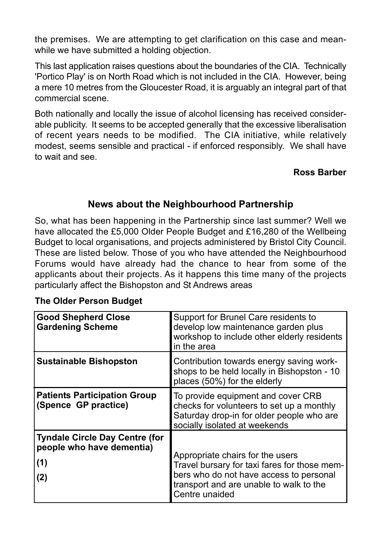the premises. We are attempting to get clarification on this case and meanwhile we have submitted a holding objection.

This last application raises questions about the boundaries of the CIA. Technically 'Portico Play' is on North Road which is not included in the CIA. However, being a mere 10 metres from the Gloucester Road, it is arguably an integral part of that commercial scene.

Both nationally and locally the issue of alcohol licensing has received considerable publicity. It seems to be accepted generally that the excessive liberalisation of recent years needs to be modified. The CIA initiative, while relatively modest, seems sensible and practical - if enforced responsibly. We shall have to wait and see.

## **Ross Barber**

## **News about the Neighbourhood Partnership**

So, what has been happening in the Partnership since last summer? Well we have allocated the £5,000 Older People Budget and £16,280 of the Wellbeing Budget to local organisations, and projects administered by Bristol City Council. These are listed below. Those of you who have attended the Neighbourhood Forums would have already had the chance to hear from some of the applicants about their projects. As it happens this time many of the projects particularly affect the Bishopston and St Andrews areas

| <b>Good Shepherd Close</b><br><b>Gardening Scheme</b>                            | Support for Brunel Care residents to<br>develop low maintenance garden plus<br>workshop to include other elderly residents<br>in the area                                                |
|----------------------------------------------------------------------------------|------------------------------------------------------------------------------------------------------------------------------------------------------------------------------------------|
| <b>Sustainable Bishopston</b>                                                    | Contribution towards energy saving work-<br>shops to be held locally in Bishopston - 10<br>places (50%) for the elderly                                                                  |
| <b>Patients Participation Group</b><br>(Spence GP practice)                      | To provide equipment and cover CRB<br>checks for volunteers to set up a monthly<br>Saturday drop-in for older people who are<br>socially isolated at weekends                            |
| <b>Tyndale Circle Day Centre (for</b><br>people who have dementia)<br>(1)<br>(2) | Appropriate chairs for the users<br>Travel bursary for taxi fares for those mem-<br>bers who do not have access to personal<br>transport and are unable to walk to the<br>Centre unaided |

#### **The Older Person Budget**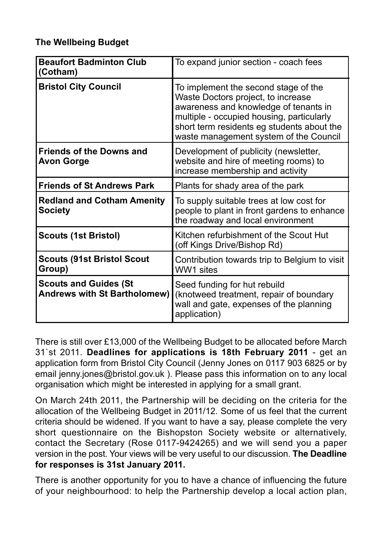## **The Wellbeing Budget**

| <b>Beaufort Badminton Club</b><br>(Cotham)                          | To expand junior section - coach fees                                                                                                                                                                                                                    |
|---------------------------------------------------------------------|----------------------------------------------------------------------------------------------------------------------------------------------------------------------------------------------------------------------------------------------------------|
| <b>Bristol City Council</b>                                         | To implement the second stage of the<br>Waste Doctors project, to increase<br>awareness and knowledge of tenants in<br>multiple - occupied housing, particularly<br>short term residents eg students about the<br>waste management system of the Council |
| <b>Friends of the Downs and</b><br><b>Avon Gorge</b>                | Development of publicity (newsletter,<br>website and hire of meeting rooms) to<br>increase membership and activity                                                                                                                                       |
| <b>Friends of St Andrews Park</b>                                   | Plants for shady area of the park                                                                                                                                                                                                                        |
| <b>Redland and Cotham Amenity</b><br><b>Society</b>                 | To supply suitable trees at low cost for<br>people to plant in front gardens to enhance<br>the roadway and local environment                                                                                                                             |
| <b>Scouts (1st Bristol)</b>                                         | Kitchen refurbishment of the Scout Hut<br>(off Kings Drive/Bishop Rd)                                                                                                                                                                                    |
| Scouts (91st Bristol Scout<br>Group)                                | Contribution towards trip to Belgium to visit<br>WW1 sites                                                                                                                                                                                               |
| <b>Scouts and Guides (St</b><br><b>Andrews with St Bartholomew)</b> | Seed funding for hut rebuild<br>(knotweed treatment, repair of boundary<br>wall and gate, expenses of the planning<br>application)                                                                                                                       |

There is still over £13,000 of the Wellbeing Budget to be allocated before March 31`st 2011. **Deadlines for applications is 18th February 2011** - get an application form from Bristol City Council (Jenny Jones on 0117 903 6825 or by email jenny.jones@bristol.gov.uk ). Please pass this information on to any local organisation which might be interested in applying for a small grant.

On March 24th 2011, the Partnership will be deciding on the criteria for the allocation of the Wellbeing Budget in 2011/12. Some of us feel that the current criteria should be widened. If you want to have a say, please complete the very short questionnaire on the Bishopston Society website or alternatively, contact the Secretary (Rose 0117-9424265) and we will send you a paper version in the post. Your views will be very useful to our discussion. **The Deadline for responses is 31st January 2011.**

There is another opportunity for you to have a chance of influencing the future of your neighbourhood: to help the Partnership develop a local action plan,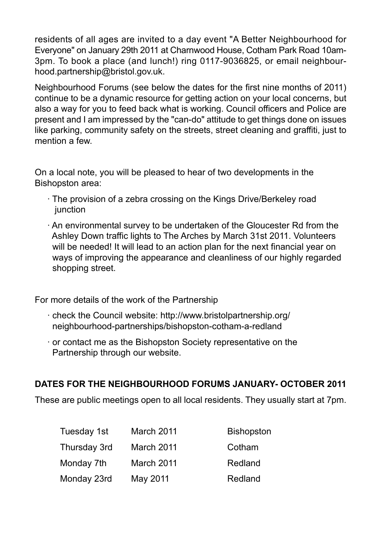residents of all ages are invited to a day event "A Better Neighbourhood for Everyone" on January 29th 2011 at Charnwood House, Cotham Park Road 10am-3pm. To book a place (and lunch!) ring 0117-9036825, or email neighbourhood.partnership@bristol.gov.uk.

Neighbourhood Forums (see below the dates for the first nine months of 2011) continue to be a dynamic resource for getting action on your local concerns, but also a way for you to feed back what is working. Council officers and Police are present and I am impressed by the "can-do" attitude to get things done on issues like parking, community safety on the streets, street cleaning and graffiti, just to mention a few

On a local note, you will be pleased to hear of two developments in the Bishopston area:

- · The provision of a zebra crossing on the Kings Drive/Berkeley road iunction
- · An environmental survey to be undertaken of the Gloucester Rd from the Ashley Down traffic lights to The Arches by March 31st 2011. Volunteers will be needed! It will lead to an action plan for the next financial year on ways of improving the appearance and cleanliness of our highly regarded shopping street.

For more details of the work of the Partnership

- · check the Council website: http://www.bristolpartnership.org/ neighbourhood-partnerships/bishopston-cotham-a-redland
- · or contact me as the Bishopston Society representative on the Partnership through our website.

## **DATES FOR THE NEIGHBOURHOOD FORUMS JANUARY- OCTOBER 2011**

These are public meetings open to all local residents. They usually start at 7pm.

| Tuesday 1st  | March 2011 | <b>Bishopston</b> |
|--------------|------------|-------------------|
| Thursday 3rd | March 2011 | Cotham            |
| Monday 7th   | March 2011 | Redland           |
| Monday 23rd  | May 2011   | Redland           |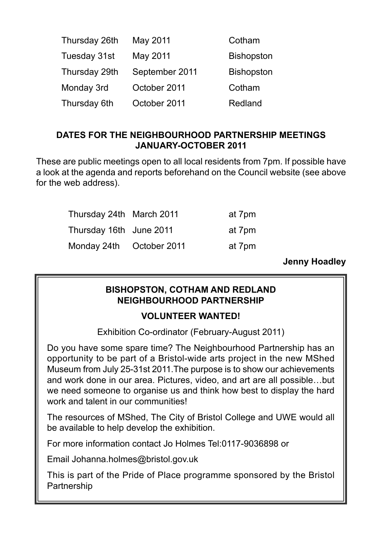| Thursday 26th | May 2011       | Cotham            |
|---------------|----------------|-------------------|
| Tuesday 31st  | May 2011       | <b>Bishopston</b> |
| Thursday 29th | September 2011 | <b>Bishopston</b> |
| Monday 3rd    | October 2011   | Cotham            |
| Thursday 6th  | October 2011   | Redland           |

## **DATES FOR THE NEIGHBOURHOOD PARTNERSHIP MEETINGS JANUARY-OCTOBER 2011**

These are public meetings open to all local residents from 7pm. If possible have a look at the agenda and reports beforehand on the Council website (see above for the web address).

| Thursday 24th March 2011 | at 7pm |
|--------------------------|--------|
| Thursday 16th June 2011  | at 7pm |
| Monday 24th October 2011 | at 7pm |

**Jenny Hoadley** 

## **BISHOPSTON, COTHAM AND REDLAND NEIGHBOURHOOD PARTNERSHIP**

## **VOLUNTEER WANTED!**

Exhibition Co-ordinator (February-August 2011)

Do you have some spare time? The Neighbourhood Partnership has an opportunity to be part of a Bristol-wide arts project in the new MShed Museum from July 25-31st 2011.The purpose is to show our achievements and work done in our area. Pictures, video, and art are all possible…but we need someone to organise us and think how best to display the hard work and talent in our communities!

The resources of MShed, The City of Bristol College and UWE would all be available to help develop the exhibition.

For more information contact Jo Holmes Tel:0117-9036898 or

Email Johanna.holmes@bristol.gov.uk

This is part of the Pride of Place programme sponsored by the Bristol **Partnership**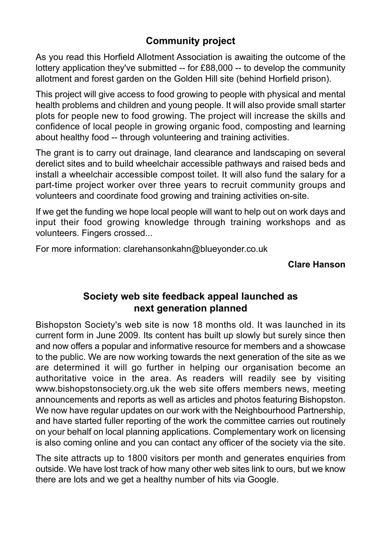# **Community project**

As you read this Horfield Allotment Association is awaiting the outcome of the lottery application they've submitted -- for £88,000 -- to develop the community allotment and forest garden on the Golden Hill site (behind Horfield prison).

This project will give access to food growing to people with physical and mental health problems and children and young people. It will also provide small starter plots for people new to food growing. The project will increase the skills and confidence of local people in growing organic food, composting and learning about healthy food -- through volunteering and training activities.

The grant is to carry out drainage, land clearance and landscaping on several derelict sites and to build wheelchair accessible pathways and raised beds and install a wheelchair accessible compost toilet. It will also fund the salary for a part-time project worker over three years to recruit community groups and volunteers and coordinate food growing and training activities on-site.

If we get the funding we hope local people will want to help out on work days and input their food growing knowledge through training workshops and as volunteers. Fingers crossed...

For more information: clarehansonkahn@blueyonder.co.uk

#### **Clare Hanson**

## **Society web site feedback appeal launched as next generation planned**

Bishopston Society's web site is now 18 months old. It was launched in its current form in June 2009. Its content has built up slowly but surely since then and now offers a popular and informative resource for members and a showcase to the public. We are now working towards the next generation of the site as we are determined it will go further in helping our organisation become an authoritative voice in the area. As readers will readily see by visiting www.bishopstonsociety.org.uk the web site offers members news, meeting announcements and reports as well as articles and photos featuring Bishopston. We now have regular updates on our work with the Neighbourhood Partnership, and have started fuller reporting of the work the committee carries out routinely on your behalf on local planning applications. Complementary work on licensing is also coming online and you can contact any officer of the society via the site.

The site attracts up to 1800 visitors per month and generates enquiries from outside. We have lost track of how many other web sites link to ours, but we know there are lots and we get a healthy number of hits via Google.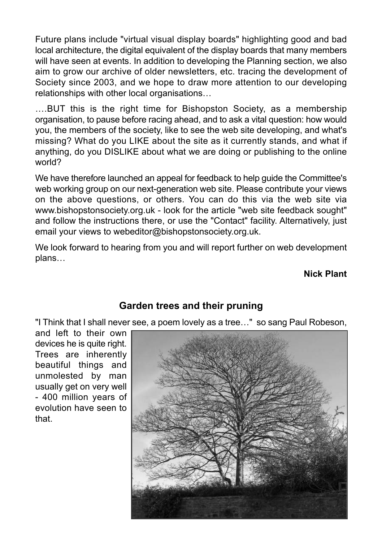Future plans include "virtual visual display boards" highlighting good and bad local architecture, the digital equivalent of the display boards that many members will have seen at events. In addition to developing the Planning section, we also aim to grow our archive of older newsletters, etc. tracing the development of Society since 2003, and we hope to draw more attention to our developing relationships with other local organisations…

….BUT this is the right time for Bishopston Society, as a membership organisation, to pause before racing ahead, and to ask a vital question: how would you, the members of the society, like to see the web site developing, and what's missing? What do you LIKE about the site as it currently stands, and what if anything, do you DISLIKE about what we are doing or publishing to the online world?

We have therefore launched an appeal for feedback to help guide the Committee's web working group on our next-generation web site. Please contribute your views on the above questions, or others. You can do this via the web site via www.bishopstonsociety.org.uk - look for the article "web site feedback sought" and follow the instructions there, or use the "Contact" facility. Alternatively, just email your views to webeditor@bishopstonsociety.org.uk.

We look forward to hearing from you and will report further on web development plans…

## **Nick Plant**

# **Garden trees and their pruning**

"I Think that I shall never see, a poem lovely as a tree…" so sang Paul Robeson,

and left to their own devices he is quite right. Trees are inherently beautiful things and unmolested by man usually get on very well - 400 million years of evolution have seen to that.

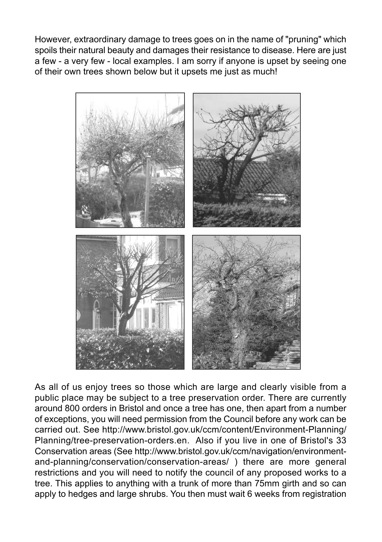However, extraordinary damage to trees goes on in the name of "pruning" which spoils their natural beauty and damages their resistance to disease. Here are just a few - a very few - local examples. I am sorry if anyone is upset by seeing one of their own trees shown below but it upsets me just as much!



As all of us enjoy trees so those which are large and clearly visible from a public place may be subject to a tree preservation order. There are currently around 800 orders in Bristol and once a tree has one, then apart from a number of exceptions, you will need permission from the Council before any work can be carried out. See http://www.bristol.gov.uk/ccm/content/Environment-Planning/ Planning/tree-preservation-orders.en. Also if you live in one of Bristol's 33 Conservation areas (See http://www.bristol.gov.uk/ccm/navigation/environmentand-planning/conservation/conservation-areas/ ) there are more general restrictions and you will need to notify the council of any proposed works to a tree. This applies to anything with a trunk of more than 75mm girth and so can apply to hedges and large shrubs. You then must wait 6 weeks from registration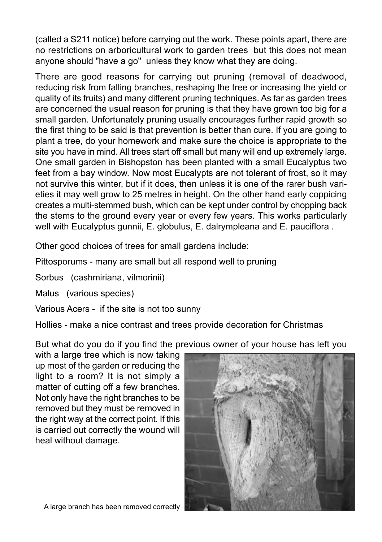(called a S211 notice) before carrying out the work. These points apart, there are no restrictions on arboricultural work to garden trees but this does not mean anyone should "have a go" unless they know what they are doing.

There are good reasons for carrying out pruning (removal of deadwood, reducing risk from falling branches, reshaping the tree or increasing the yield or quality of its fruits) and many different pruning techniques. As far as garden trees are concerned the usual reason for pruning is that they have grown too big for a small garden. Unfortunately pruning usually encourages further rapid growth so the first thing to be said is that prevention is better than cure. If you are going to plant a tree, do your homework and make sure the choice is appropriate to the site you have in mind. All trees start off small but many will end up extremely large. One small garden in Bishopston has been planted with a small Eucalyptus two feet from a bay window. Now most Eucalypts are not tolerant of frost, so it may not survive this winter, but if it does, then unless it is one of the rarer bush varieties it may well grow to 25 metres in height. On the other hand early coppicing creates a multi-stemmed bush, which can be kept under control by chopping back the stems to the ground every year or every few years. This works particularly well with Eucalyptus gunnii, E. globulus, E. dalrympleana and E. pauciflora .

Other good choices of trees for small gardens include:

Pittosporums - many are small but all respond well to pruning

Sorbus (cashmiriana, vilmorinii)

Malus (various species)

Various Acers - if the site is not too sunny

Hollies - make a nice contrast and trees provide decoration for Christmas

But what do you do if you find the previous owner of your house has left you

with a large tree which is now taking up most of the garden or reducing the light to a room? It is not simply a matter of cutting off a few branches. Not only have the right branches to be removed but they must be removed in the right way at the correct point. If this is carried out correctly the wound will heal without damage.



A large branch has been removed correctly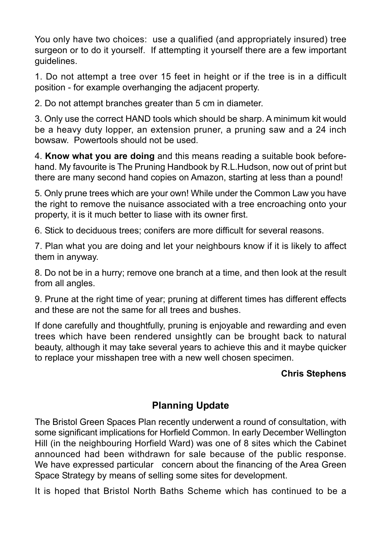You only have two choices: use a qualified (and appropriately insured) tree surgeon or to do it yourself. If attempting it yourself there are a few important guidelines.

1. Do not attempt a tree over 15 feet in height or if the tree is in a difficult position - for example overhanging the adjacent property.

2. Do not attempt branches greater than 5 cm in diameter.

3. Only use the correct HAND tools which should be sharp. A minimum kit would be a heavy duty lopper, an extension pruner, a pruning saw and a 24 inch bowsaw. Powertools should not be used.

4. **Know what you are doing** and this means reading a suitable book beforehand. My favourite is The Pruning Handbook by R.L.Hudson, now out of print but there are many second hand copies on Amazon, starting at less than a pound!

5. Only prune trees which are your own! While under the Common Law you have the right to remove the nuisance associated with a tree encroaching onto your property, it is it much better to liase with its owner first.

6. Stick to deciduous trees; conifers are more difficult for several reasons.

7. Plan what you are doing and let your neighbours know if it is likely to affect them in anyway.

8. Do not be in a hurry; remove one branch at a time, and then look at the result from all angles.

9. Prune at the right time of year; pruning at different times has different effects and these are not the same for all trees and bushes.

If done carefully and thoughtfully, pruning is enjoyable and rewarding and even trees which have been rendered unsightly can be brought back to natural beauty, although it may take several years to achieve this and it maybe quicker to replace your misshapen tree with a new well chosen specimen.

## **Chris Stephens**

# **Planning Update**

The Bristol Green Spaces Plan recently underwent a round of consultation, with some significant implications for Horfield Common. In early December Wellington Hill (in the neighbouring Horfield Ward) was one of 8 sites which the Cabinet announced had been withdrawn for sale because of the public response. We have expressed particular concern about the financing of the Area Green Space Strategy by means of selling some sites for development.

It is hoped that Bristol North Baths Scheme which has continued to be a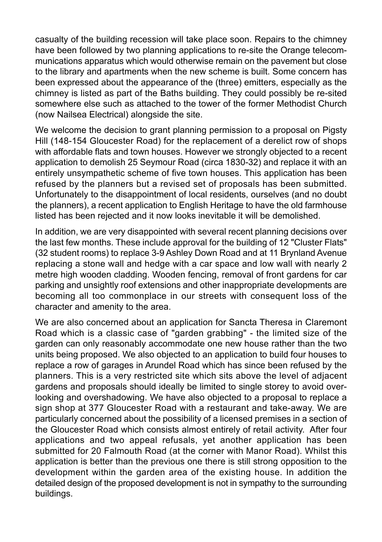casualty of the building recession will take place soon. Repairs to the chimney have been followed by two planning applications to re-site the Orange telecommunications apparatus which would otherwise remain on the pavement but close to the library and apartments when the new scheme is built. Some concern has been expressed about the appearance of the (three) emitters, especially as the chimney is listed as part of the Baths building. They could possibly be re-sited somewhere else such as attached to the tower of the former Methodist Church (now Nailsea Electrical) alongside the site.

We welcome the decision to grant planning permission to a proposal on Pigsty Hill (148-154 Gloucester Road) for the replacement of a derelict row of shops with affordable flats and town houses. However we strongly objected to a recent application to demolish 25 Seymour Road (circa 1830-32) and replace it with an entirely unsympathetic scheme of five town houses. This application has been refused by the planners but a revised set of proposals has been submitted. Unfortunately to the disappointment of local residents, ourselves (and no doubt the planners), a recent application to English Heritage to have the old farmhouse listed has been rejected and it now looks inevitable it will be demolished.

In addition, we are very disappointed with several recent planning decisions over the last few months. These include approval for the building of 12 "Cluster Flats" (32 student rooms) to replace 3-9 Ashley Down Road and at 11 Brynland Avenue replacing a stone wall and hedge with a car space and low wall with nearly 2 metre high wooden cladding. Wooden fencing, removal of front gardens for car parking and unsightly roof extensions and other inappropriate developments are becoming all too commonplace in our streets with consequent loss of the character and amenity to the area.

We are also concerned about an application for Sancta Theresa in Claremont Road which is a classic case of "garden grabbing" - the limited size of the garden can only reasonably accommodate one new house rather than the two units being proposed. We also objected to an application to build four houses to replace a row of garages in Arundel Road which has since been refused by the planners. This is a very restricted site which sits above the level of adjacent gardens and proposals should ideally be limited to single storey to avoid overlooking and overshadowing. We have also objected to a proposal to replace a sign shop at 377 Gloucester Road with a restaurant and take-away. We are particularly concerned about the possibility of a licensed premises in a section of the Gloucester Road which consists almost entirely of retail activity. After four applications and two appeal refusals, yet another application has been submitted for 20 Falmouth Road (at the corner with Manor Road). Whilst this application is better than the previous one there is still strong opposition to the development within the garden area of the existing house. In addition the detailed design of the proposed development is not in sympathy to the surrounding buildings.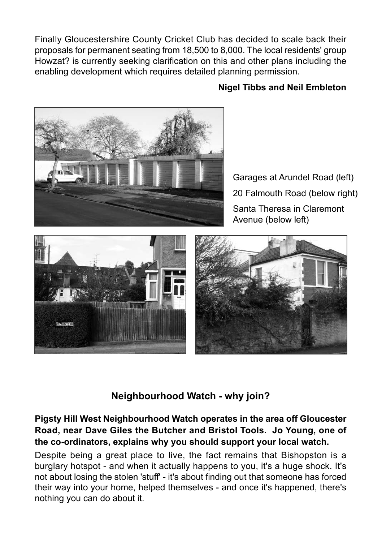Finally Gloucestershire County Cricket Club has decided to scale back their proposals for permanent seating from 18,500 to 8,000. The local residents' group Howzat? is currently seeking clarification on this and other plans including the enabling development which requires detailed planning permission.

## **Nigel Tibbs and Neil Embleton**



Garages at Arundel Road (left) 20 Falmouth Road (below right) Santa Theresa in Claremont Avenue (below left)



**Neighbourhood Watch - why join?**

## **Pigsty Hill West Neighbourhood Watch operates in the area off Gloucester Road, near Dave Giles the Butcher and Bristol Tools. Jo Young, one of the co-ordinators, explains why you should support your local watch.**

Despite being a great place to live, the fact remains that Bishopston is a burglary hotspot - and when it actually happens to you, it's a huge shock. It's not about losing the stolen 'stuff' - it's about finding out that someone has forced their way into your home, helped themselves - and once it's happened, there's nothing you can do about it.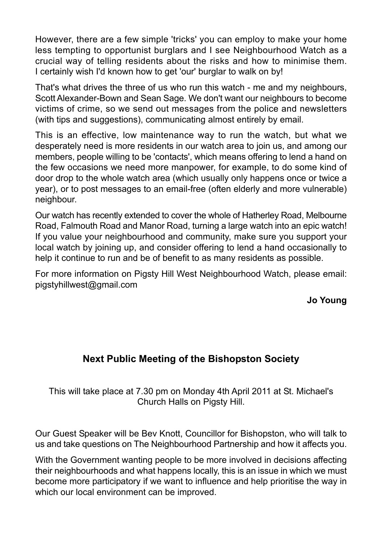However, there are a few simple 'tricks' you can employ to make your home less tempting to opportunist burglars and I see Neighbourhood Watch as a crucial way of telling residents about the risks and how to minimise them. I certainly wish I'd known how to get 'our' burglar to walk on by!

That's what drives the three of us who run this watch - me and my neighbours, Scott Alexander-Bown and Sean Sage. We don't want our neighbours to become victims of crime, so we send out messages from the police and newsletters (with tips and suggestions), communicating almost entirely by email.

This is an effective, low maintenance way to run the watch, but what we desperately need is more residents in our watch area to join us, and among our members, people willing to be 'contacts', which means offering to lend a hand on the few occasions we need more manpower, for example, to do some kind of door drop to the whole watch area (which usually only happens once or twice a year), or to post messages to an email-free (often elderly and more vulnerable) neighbour.

Our watch has recently extended to cover the whole of Hatherley Road, Melbourne Road, Falmouth Road and Manor Road, turning a large watch into an epic watch! If you value your neighbourhood and community, make sure you support your local watch by joining up, and consider offering to lend a hand occasionally to help it continue to run and be of benefit to as many residents as possible.

For more information on Pigsty Hill West Neighbourhood Watch, please email: pigstyhillwest@gmail.com

**Jo Young** 

# **Next Public Meeting of the Bishopston Society**

This will take place at 7.30 pm on Monday 4th April 2011 at St. Michael's Church Halls on Pigsty Hill.

Our Guest Speaker will be Bev Knott, Councillor for Bishopston, who will talk to us and take questions on The Neighbourhood Partnership and how it affects you.

With the Government wanting people to be more involved in decisions affecting their neighbourhoods and what happens locally, this is an issue in which we must become more participatory if we want to influence and help prioritise the way in which our local environment can be improved.